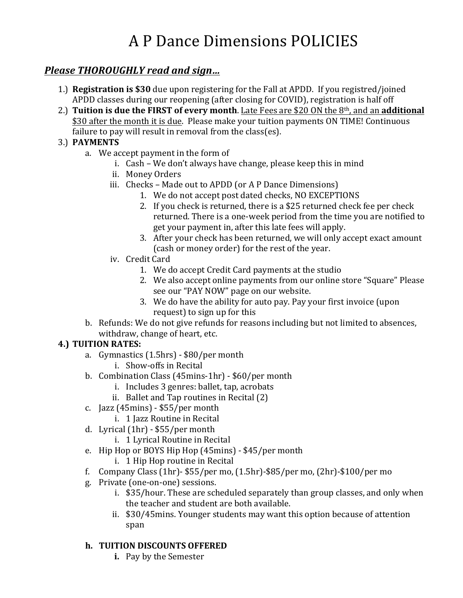# A P Dance Dimensions POLICIES

# *Please THOROUGHLY read and sign…*

- 1.) **Registration is \$30** due upon registering for the Fall at APDD. If you registred/joined APDD classes during our reopening (after closing for COVID), registration is half off
- 2.) **Tuition is due the FIRST of every month**. Late Fees are \$20 ON the 8<sup>th</sup>, and an **additional** \$30 after the month it is due. Please make your tuition payments ON TIME! Continuous failure to pay will result in removal from the class(es).

## 3.) **PAYMENTS**

- a. We accept payment in the form of
	- i. Cash We don't always have change, please keep this in mind
	- ii. Money Orders
	- iii. Checks Made out to APDD (or A P Dance Dimensions)
		- 1. We do not accept post dated checks, NO EXCEPTIONS
		- 2. If you check is returned, there is a \$25 returned check fee per check returned. There is a one-week period from the time you are notified to get your payment in, after this late fees will apply.
		- 3. After your check has been returned, we will only accept exact amount (cash or money order) for the rest of the year.
	- iv. Credit Card
		- 1. We do accept Credit Card payments at the studio
		- 2. We also accept online payments from our online store "Square" Please see our "PAY NOW" page on our website.
		- 3. We do have the ability for auto pay. Pay your first invoice (upon request) to sign up for this
- b. Refunds: We do not give refunds for reasons including but not limited to absences, withdraw, change of heart, etc.

## **4.) TUITION RATES:**

- a. Gymnastics (1.5hrs) \$80/per month
	- i. Show-offs in Recital
- b. Combination Class (45mins-1hr) \$60/per month
	- i. Includes 3 genres: ballet, tap, acrobats
	- ii. Ballet and Tap routines in Recital  $(2)$
- c.  $[azz(45mins) $55/per month]$ 
	- i. 1 Jazz Routine in Recital
- d. Lyrical  $(1hr) $55/per$  month
	- i. 1 Lyrical Routine in Recital
- e. Hip Hop or BOYS Hip Hop (45mins) \$45/per month
	- i. 1 Hip Hop routine in Recital
- f. Company Class  $(1hr)$  \$55/per mo,  $(1.5hr)$ -\$85/per mo,  $(2hr)$ -\$100/per mo
- g. Private (one-on-one) sessions.
	- i. \$35/hour. These are scheduled separately than group classes, and only when the teacher and student are both available.
	- ii.  $$30/45$  mins. Younger students may want this option because of attention span

## **h. TUITION DISCOUNTS OFFERED**

**i.** Pay by the Semester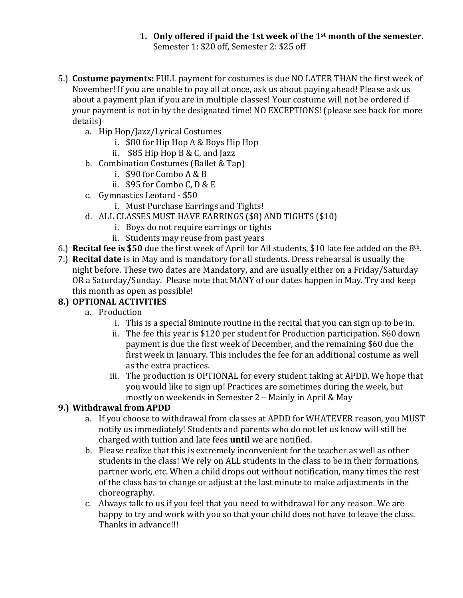#### 1. Only offered if paid the 1st week of the  $1<sup>st</sup>$  month of the semester. Semester 1: \$20 off, Semester 2: \$25 off

- 5.) Costume payments: FULL payment for costumes is due NO LATER THAN the first week of November! If you are unable to pay all at once, ask us about paying ahead! Please ask us about a payment plan if you are in multiple classes! Your costume will not be ordered if your payment is not in by the designated time! NO EXCEPTIONS! (please see back for more details)
	- a. Hip Hop/Jazz/Lyrical Costumes
		- i.  $$80$  for Hip Hop A & Boys Hip Hop
		- ii.  $$85$  Hip Hop B & C, and Jazz
	- b. Combination Costumes (Ballet & Tap)
		- i.  $$90$  for Combo A & B
		- ii.  $$95$  for Combo C, D & E
	- c. Gymnastics Leotard \$50
		- i. Must Purchase Earrings and Tights!
	- d. ALL CLASSES MUST HAVE EARRINGS (\$8) AND TIGHTS (\$10)
		- i. Boys do not require earrings or tights
		- ii. Students may reuse from past years
- 6.) **Recital fee is \$50** due the first week of April for All students, \$10 late fee added on the  $8<sup>th</sup>$ .
- 7.) **Recital date** is in May and is mandatory for all students. Dress rehearsal is usually the night before. These two dates are Mandatory, and are usually either on a Friday/Saturday OR a Saturday/Sunday. Please note that MANY of our dates happen in May. Try and keep this month as open as possible!

## **8.) OPTIONAL ACTIVITIES**

- a. Production
	- i. This is a special 8minute routine in the recital that you can sign up to be in.
	- ii. The fee this year is \$120 per student for Production participation. \$60 down payment is due the first week of December, and the remaining \$60 due the first week in January. This includes the fee for an additional costume as well as the extra practices.
	- iii. The production is OPTIONAL for every student taking at APDD. We hope that you would like to sign up! Practices are sometimes during the week, but mostly on weekends in Semester  $2$  – Mainly in April & May

## **9.) Withdrawal from APDD**

- a. If you choose to withdrawal from classes at APDD for WHATEVER reason, you MUST notify us immediately! Students and parents who do not let us know will still be charged with tuition and late fees **until** we are notified.
- b. Please realize that this is extremely inconvenient for the teacher as well as other students in the class! We rely on ALL students in the class to be in their formations, partner work, etc. When a child drops out without notification, many times the rest of the class has to change or adjust at the last minute to make adjustments in the choreography.
- c. Always talk to us if you feel that you need to withdrawal for any reason. We are happy to try and work with you so that your child does not have to leave the class. Thanks in advance!!!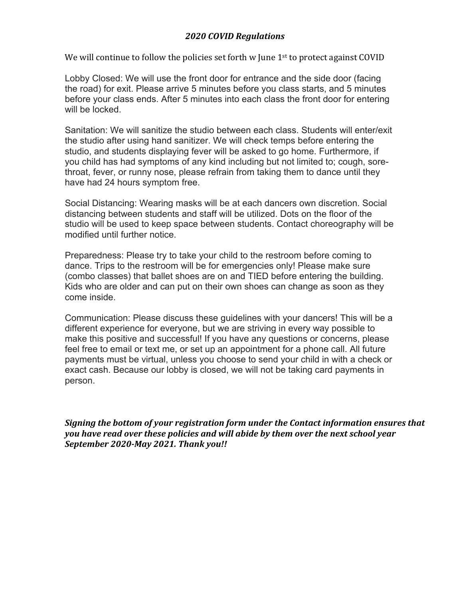### *2020 COVID Regulations*

We will continue to follow the policies set forth  $w$  June  $1<sup>st</sup>$  to protect against COVID

Lobby Closed: We will use the front door for entrance and the side door (facing the road) for exit. Please arrive 5 minutes before you class starts, and 5 minutes before your class ends. After 5 minutes into each class the front door for entering will be locked.

Sanitation: We will sanitize the studio between each class. Students will enter/exit the studio after using hand sanitizer. We will check temps before entering the studio, and students displaying fever will be asked to go home. Furthermore, if you child has had symptoms of any kind including but not limited to; cough, sorethroat, fever, or runny nose, please refrain from taking them to dance until they have had 24 hours symptom free.

Social Distancing: Wearing masks will be at each dancers own discretion. Social distancing between students and staff will be utilized. Dots on the floor of the studio will be used to keep space between students. Contact choreography will be modified until further notice.

Preparedness: Please try to take your child to the restroom before coming to dance. Trips to the restroom will be for emergencies only! Please make sure (combo classes) that ballet shoes are on and TIED before entering the building. Kids who are older and can put on their own shoes can change as soon as they come inside.

Communication: Please discuss these guidelines with your dancers! This will be a different experience for everyone, but we are striving in every way possible to make this positive and successful! If you have any questions or concerns, please feel free to email or text me, or set up an appointment for a phone call. All future payments must be virtual, unless you choose to send your child in with a check or exact cash. Because our lobby is closed, we will not be taking card payments in person.

*Signing the bottom of your registration form under the Contact information ensures that you have read over these policies and will abide by them over the next school year September 2020-May 2021. Thank you!!*